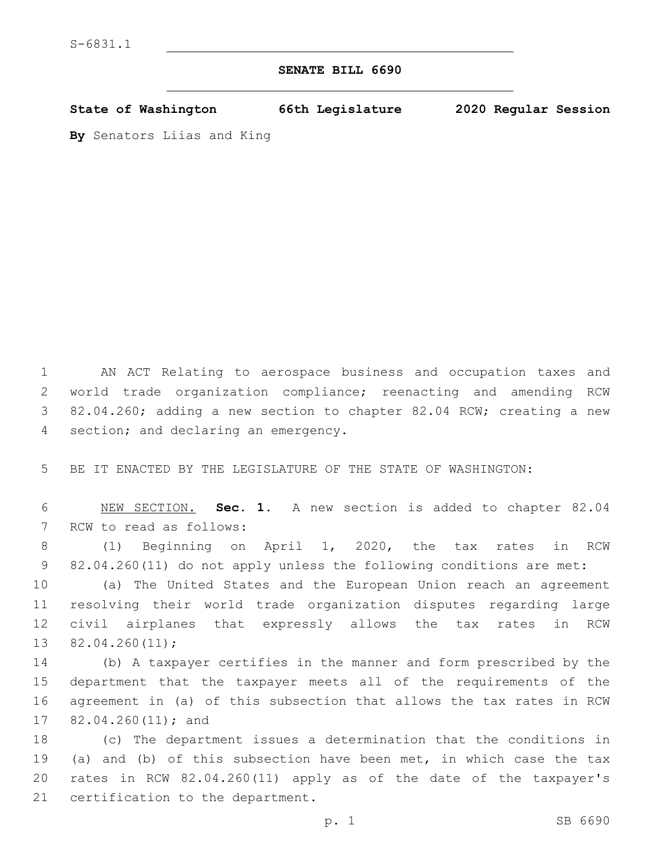## **SENATE BILL 6690**

**State of Washington 66th Legislature 2020 Regular Session**

**By** Senators Liias and King

 AN ACT Relating to aerospace business and occupation taxes and world trade organization compliance; reenacting and amending RCW 82.04.260; adding a new section to chapter 82.04 RCW; creating a new 4 section; and declaring an emergency.

BE IT ENACTED BY THE LEGISLATURE OF THE STATE OF WASHINGTON:

 NEW SECTION. **Sec. 1.** A new section is added to chapter 82.04 7 RCW to read as follows:

 (1) Beginning on April 1, 2020, the tax rates in RCW 82.04.260(11) do not apply unless the following conditions are met:

 (a) The United States and the European Union reach an agreement resolving their world trade organization disputes regarding large civil airplanes that expressly allows the tax rates in RCW  $82.04.260(11);$ 

 (b) A taxpayer certifies in the manner and form prescribed by the department that the taxpayer meets all of the requirements of the agreement in (a) of this subsection that allows the tax rates in RCW 17 82.04.260(11); and

 (c) The department issues a determination that the conditions in (a) and (b) of this subsection have been met, in which case the tax rates in RCW 82.04.260(11) apply as of the date of the taxpayer's 21 certification to the department.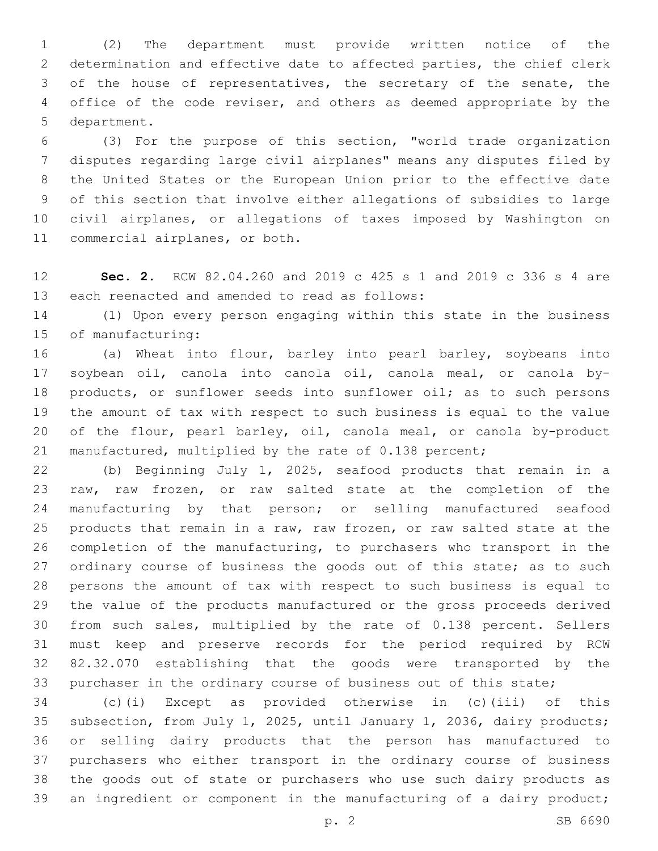(2) The department must provide written notice of the determination and effective date to affected parties, the chief clerk of the house of representatives, the secretary of the senate, the office of the code reviser, and others as deemed appropriate by the 5 department.

 (3) For the purpose of this section, "world trade organization disputes regarding large civil airplanes" means any disputes filed by the United States or the European Union prior to the effective date of this section that involve either allegations of subsidies to large civil airplanes, or allegations of taxes imposed by Washington on 11 commercial airplanes, or both.

 **Sec. 2.** RCW 82.04.260 and 2019 c 425 s 1 and 2019 c 336 s 4 are 13 each reenacted and amended to read as follows:

 (1) Upon every person engaging within this state in the business 15 of manufacturing:

 (a) Wheat into flour, barley into pearl barley, soybeans into soybean oil, canola into canola oil, canola meal, or canola by- products, or sunflower seeds into sunflower oil; as to such persons the amount of tax with respect to such business is equal to the value of the flour, pearl barley, oil, canola meal, or canola by-product manufactured, multiplied by the rate of 0.138 percent;

 (b) Beginning July 1, 2025, seafood products that remain in a raw, raw frozen, or raw salted state at the completion of the manufacturing by that person; or selling manufactured seafood products that remain in a raw, raw frozen, or raw salted state at the completion of the manufacturing, to purchasers who transport in the 27 ordinary course of business the goods out of this state; as to such persons the amount of tax with respect to such business is equal to the value of the products manufactured or the gross proceeds derived from such sales, multiplied by the rate of 0.138 percent. Sellers must keep and preserve records for the period required by RCW 82.32.070 establishing that the goods were transported by the purchaser in the ordinary course of business out of this state;

 (c)(i) Except as provided otherwise in (c)(iii) of this subsection, from July 1, 2025, until January 1, 2036, dairy products; or selling dairy products that the person has manufactured to purchasers who either transport in the ordinary course of business the goods out of state or purchasers who use such dairy products as 39 an ingredient or component in the manufacturing of a dairy product;

p. 2 SB 6690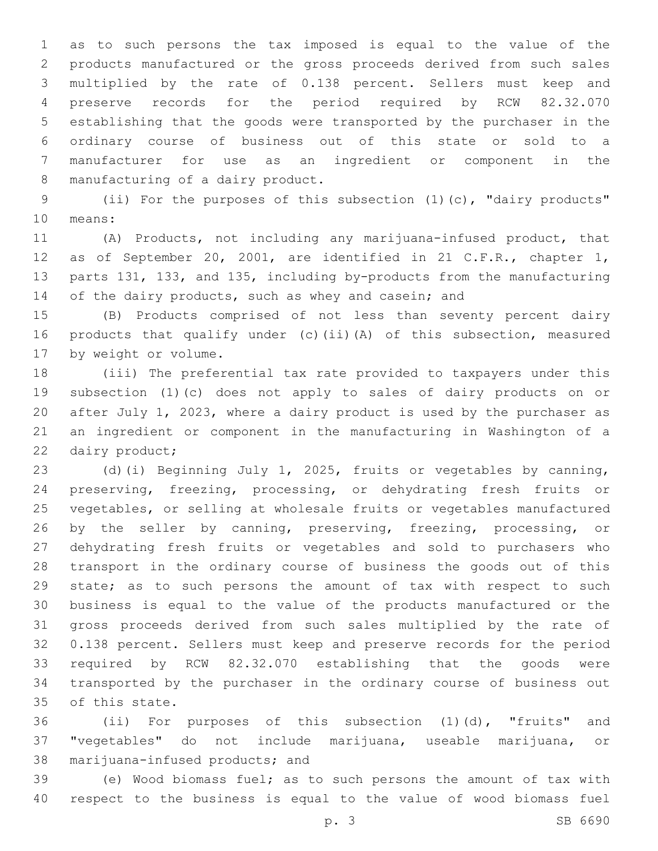as to such persons the tax imposed is equal to the value of the products manufactured or the gross proceeds derived from such sales multiplied by the rate of 0.138 percent. Sellers must keep and preserve records for the period required by RCW 82.32.070 establishing that the goods were transported by the purchaser in the ordinary course of business out of this state or sold to a manufacturer for use as an ingredient or component in the 8 manufacturing of a dairy product.

 (ii) For the purposes of this subsection (1)(c), "dairy products" 10 means:

 (A) Products, not including any marijuana-infused product, that as of September 20, 2001, are identified in 21 C.F.R., chapter 1, parts 131, 133, and 135, including by-products from the manufacturing 14 of the dairy products, such as whey and casein; and

 (B) Products comprised of not less than seventy percent dairy products that qualify under (c)(ii)(A) of this subsection, measured 17 by weight or volume.

 (iii) The preferential tax rate provided to taxpayers under this subsection (1)(c) does not apply to sales of dairy products on or after July 1, 2023, where a dairy product is used by the purchaser as an ingredient or component in the manufacturing in Washington of a 22 dairy product;

 (d)(i) Beginning July 1, 2025, fruits or vegetables by canning, preserving, freezing, processing, or dehydrating fresh fruits or vegetables, or selling at wholesale fruits or vegetables manufactured 26 by the seller by canning, preserving, freezing, processing, or dehydrating fresh fruits or vegetables and sold to purchasers who transport in the ordinary course of business the goods out of this state; as to such persons the amount of tax with respect to such business is equal to the value of the products manufactured or the gross proceeds derived from such sales multiplied by the rate of 0.138 percent. Sellers must keep and preserve records for the period required by RCW 82.32.070 establishing that the goods were transported by the purchaser in the ordinary course of business out 35 of this state.

 (ii) For purposes of this subsection (1)(d), "fruits" and "vegetables" do not include marijuana, useable marijuana, or 38 marijuana-infused products; and

 (e) Wood biomass fuel; as to such persons the amount of tax with respect to the business is equal to the value of wood biomass fuel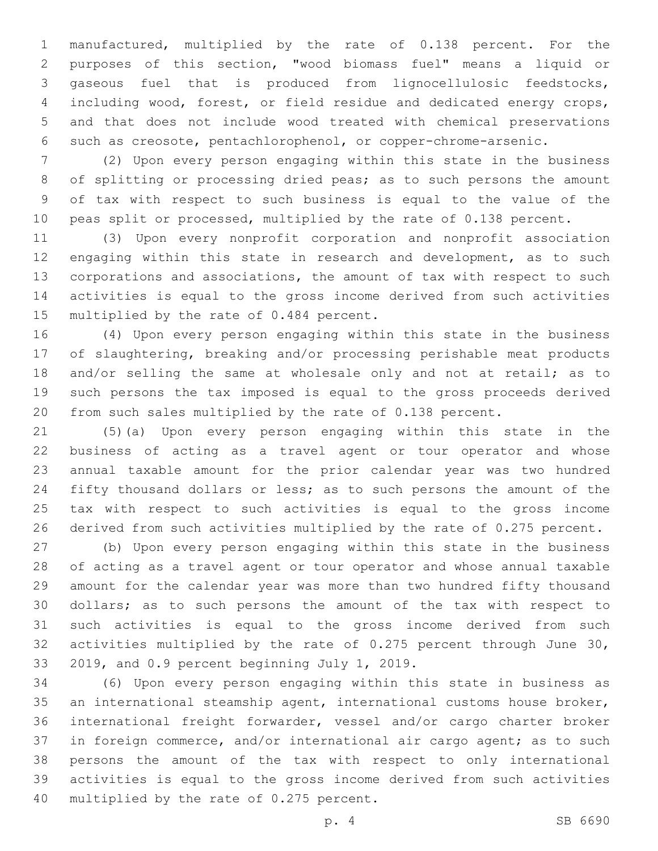manufactured, multiplied by the rate of 0.138 percent. For the purposes of this section, "wood biomass fuel" means a liquid or gaseous fuel that is produced from lignocellulosic feedstocks, including wood, forest, or field residue and dedicated energy crops, and that does not include wood treated with chemical preservations such as creosote, pentachlorophenol, or copper-chrome-arsenic.

 (2) Upon every person engaging within this state in the business of splitting or processing dried peas; as to such persons the amount of tax with respect to such business is equal to the value of the 10 peas split or processed, multiplied by the rate of 0.138 percent.

 (3) Upon every nonprofit corporation and nonprofit association engaging within this state in research and development, as to such corporations and associations, the amount of tax with respect to such activities is equal to the gross income derived from such activities 15 multiplied by the rate of 0.484 percent.

 (4) Upon every person engaging within this state in the business of slaughtering, breaking and/or processing perishable meat products 18 and/or selling the same at wholesale only and not at retail; as to such persons the tax imposed is equal to the gross proceeds derived from such sales multiplied by the rate of 0.138 percent.

 (5)(a) Upon every person engaging within this state in the business of acting as a travel agent or tour operator and whose annual taxable amount for the prior calendar year was two hundred fifty thousand dollars or less; as to such persons the amount of the tax with respect to such activities is equal to the gross income derived from such activities multiplied by the rate of 0.275 percent.

 (b) Upon every person engaging within this state in the business of acting as a travel agent or tour operator and whose annual taxable amount for the calendar year was more than two hundred fifty thousand dollars; as to such persons the amount of the tax with respect to such activities is equal to the gross income derived from such activities multiplied by the rate of 0.275 percent through June 30, 33 2019, and 0.9 percent beginning July 1, 2019.

 (6) Upon every person engaging within this state in business as an international steamship agent, international customs house broker, international freight forwarder, vessel and/or cargo charter broker in foreign commerce, and/or international air cargo agent; as to such persons the amount of the tax with respect to only international activities is equal to the gross income derived from such activities 40 multiplied by the rate of 0.275 percent.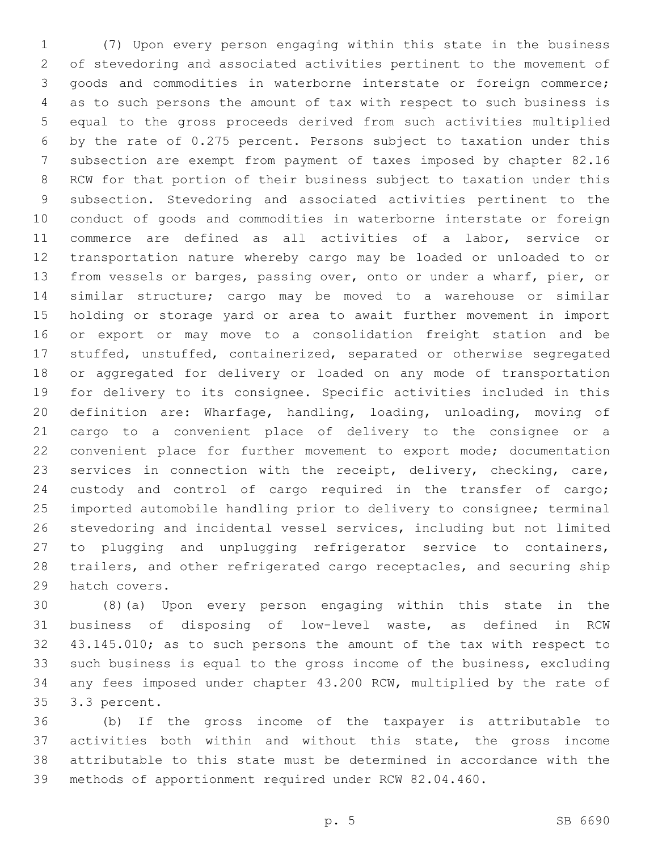(7) Upon every person engaging within this state in the business of stevedoring and associated activities pertinent to the movement of goods and commodities in waterborne interstate or foreign commerce; as to such persons the amount of tax with respect to such business is equal to the gross proceeds derived from such activities multiplied by the rate of 0.275 percent. Persons subject to taxation under this subsection are exempt from payment of taxes imposed by chapter 82.16 RCW for that portion of their business subject to taxation under this subsection. Stevedoring and associated activities pertinent to the conduct of goods and commodities in waterborne interstate or foreign commerce are defined as all activities of a labor, service or transportation nature whereby cargo may be loaded or unloaded to or from vessels or barges, passing over, onto or under a wharf, pier, or similar structure; cargo may be moved to a warehouse or similar holding or storage yard or area to await further movement in import or export or may move to a consolidation freight station and be stuffed, unstuffed, containerized, separated or otherwise segregated or aggregated for delivery or loaded on any mode of transportation for delivery to its consignee. Specific activities included in this definition are: Wharfage, handling, loading, unloading, moving of cargo to a convenient place of delivery to the consignee or a convenient place for further movement to export mode; documentation services in connection with the receipt, delivery, checking, care, custody and control of cargo required in the transfer of cargo; imported automobile handling prior to delivery to consignee; terminal stevedoring and incidental vessel services, including but not limited to plugging and unplugging refrigerator service to containers, trailers, and other refrigerated cargo receptacles, and securing ship 29 hatch covers.

 (8)(a) Upon every person engaging within this state in the business of disposing of low-level waste, as defined in RCW 43.145.010; as to such persons the amount of the tax with respect to such business is equal to the gross income of the business, excluding any fees imposed under chapter 43.200 RCW, multiplied by the rate of 35 3.3 percent.

 (b) If the gross income of the taxpayer is attributable to activities both within and without this state, the gross income attributable to this state must be determined in accordance with the methods of apportionment required under RCW 82.04.460.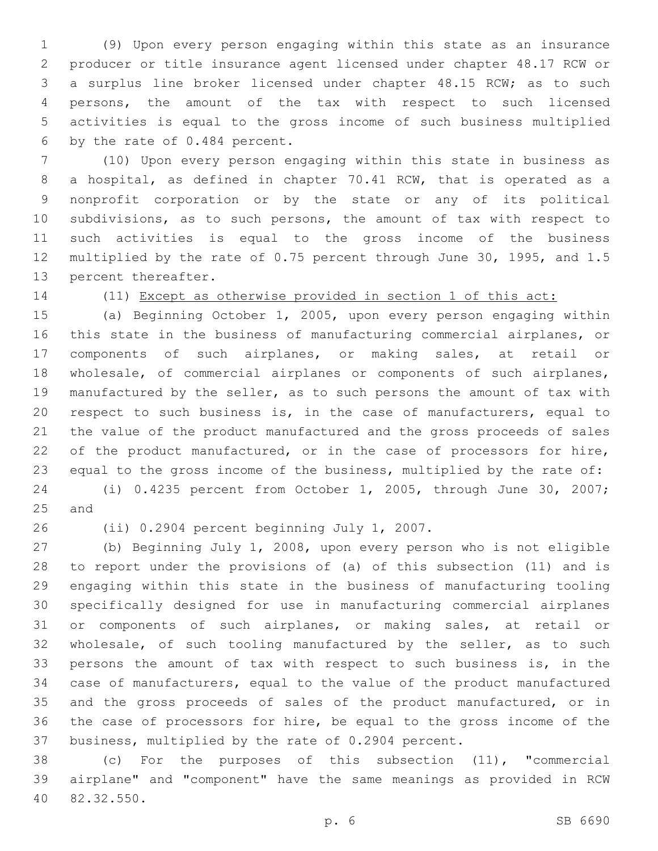(9) Upon every person engaging within this state as an insurance producer or title insurance agent licensed under chapter 48.17 RCW or a surplus line broker licensed under chapter 48.15 RCW; as to such persons, the amount of the tax with respect to such licensed activities is equal to the gross income of such business multiplied 6 by the rate of  $0.484$  percent.

 (10) Upon every person engaging within this state in business as a hospital, as defined in chapter 70.41 RCW, that is operated as a nonprofit corporation or by the state or any of its political subdivisions, as to such persons, the amount of tax with respect to such activities is equal to the gross income of the business multiplied by the rate of 0.75 percent through June 30, 1995, and 1.5 13 percent thereafter.

(11) Except as otherwise provided in section 1 of this act:

 (a) Beginning October 1, 2005, upon every person engaging within this state in the business of manufacturing commercial airplanes, or components of such airplanes, or making sales, at retail or wholesale, of commercial airplanes or components of such airplanes, manufactured by the seller, as to such persons the amount of tax with respect to such business is, in the case of manufacturers, equal to the value of the product manufactured and the gross proceeds of sales 22 of the product manufactured, or in the case of processors for hire, equal to the gross income of the business, multiplied by the rate of:

 (i) 0.4235 percent from October 1, 2005, through June 30, 2007; 25 and

26 (ii) 0.2904 percent beginning July 1, 2007.

 (b) Beginning July 1, 2008, upon every person who is not eligible to report under the provisions of (a) of this subsection (11) and is engaging within this state in the business of manufacturing tooling specifically designed for use in manufacturing commercial airplanes or components of such airplanes, or making sales, at retail or wholesale, of such tooling manufactured by the seller, as to such persons the amount of tax with respect to such business is, in the case of manufacturers, equal to the value of the product manufactured and the gross proceeds of sales of the product manufactured, or in the case of processors for hire, be equal to the gross income of the business, multiplied by the rate of 0.2904 percent.

 (c) For the purposes of this subsection (11), "commercial airplane" and "component" have the same meanings as provided in RCW 82.32.550.40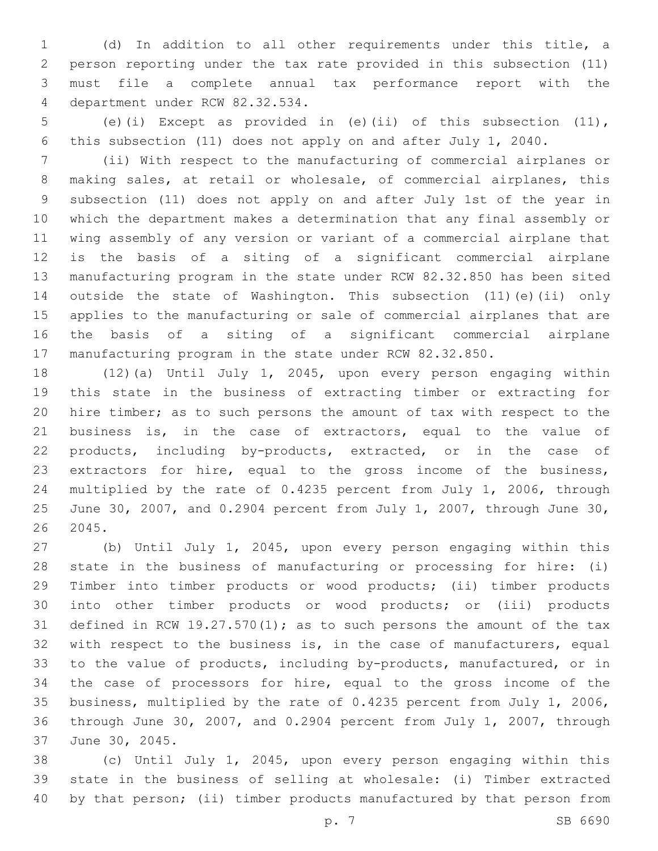(d) In addition to all other requirements under this title, a person reporting under the tax rate provided in this subsection (11) must file a complete annual tax performance report with the 4 department under RCW 82.32.534.

 (e)(i) Except as provided in (e)(ii) of this subsection (11), this subsection (11) does not apply on and after July 1, 2040.

 (ii) With respect to the manufacturing of commercial airplanes or making sales, at retail or wholesale, of commercial airplanes, this subsection (11) does not apply on and after July 1st of the year in which the department makes a determination that any final assembly or wing assembly of any version or variant of a commercial airplane that is the basis of a siting of a significant commercial airplane manufacturing program in the state under RCW 82.32.850 has been sited outside the state of Washington. This subsection (11)(e)(ii) only applies to the manufacturing or sale of commercial airplanes that are the basis of a siting of a significant commercial airplane manufacturing program in the state under RCW 82.32.850.

 (12)(a) Until July 1, 2045, upon every person engaging within this state in the business of extracting timber or extracting for hire timber; as to such persons the amount of tax with respect to the business is, in the case of extractors, equal to the value of products, including by-products, extracted, or in the case of extractors for hire, equal to the gross income of the business, multiplied by the rate of 0.4235 percent from July 1, 2006, through June 30, 2007, and 0.2904 percent from July 1, 2007, through June 30, 2045.

 (b) Until July 1, 2045, upon every person engaging within this state in the business of manufacturing or processing for hire: (i) Timber into timber products or wood products; (ii) timber products into other timber products or wood products; or (iii) products 31 defined in RCW 19.27.570(1); as to such persons the amount of the tax with respect to the business is, in the case of manufacturers, equal to the value of products, including by-products, manufactured, or in the case of processors for hire, equal to the gross income of the business, multiplied by the rate of 0.4235 percent from July 1, 2006, through June 30, 2007, and 0.2904 percent from July 1, 2007, through 37 June 30, 2045.

 (c) Until July 1, 2045, upon every person engaging within this state in the business of selling at wholesale: (i) Timber extracted by that person; (ii) timber products manufactured by that person from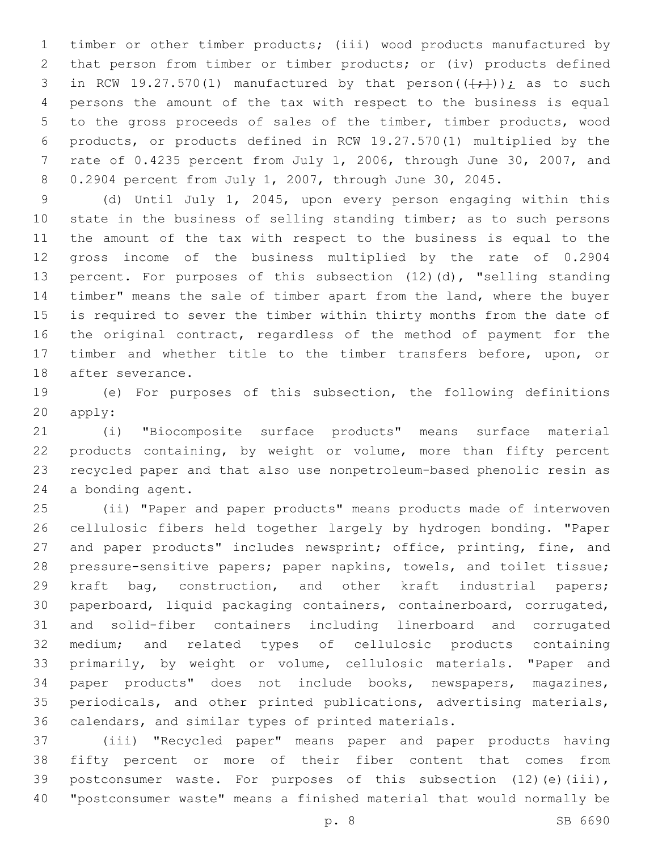timber or other timber products; (iii) wood products manufactured by that person from timber or timber products; or (iv) products defined 3 in RCW 19.27.570(1) manufactured by that person( $(\frac{+}{+})$ ); as to such persons the amount of the tax with respect to the business is equal to the gross proceeds of sales of the timber, timber products, wood products, or products defined in RCW 19.27.570(1) multiplied by the rate of 0.4235 percent from July 1, 2006, through June 30, 2007, and 0.2904 percent from July 1, 2007, through June 30, 2045.

 (d) Until July 1, 2045, upon every person engaging within this state in the business of selling standing timber; as to such persons the amount of the tax with respect to the business is equal to the gross income of the business multiplied by the rate of 0.2904 percent. For purposes of this subsection (12)(d), "selling standing timber" means the sale of timber apart from the land, where the buyer is required to sever the timber within thirty months from the date of the original contract, regardless of the method of payment for the timber and whether title to the timber transfers before, upon, or 18 after severance.

 (e) For purposes of this subsection, the following definitions 20 apply:

 (i) "Biocomposite surface products" means surface material products containing, by weight or volume, more than fifty percent recycled paper and that also use nonpetroleum-based phenolic resin as 24 a bonding agent.

 (ii) "Paper and paper products" means products made of interwoven cellulosic fibers held together largely by hydrogen bonding. "Paper 27 and paper products" includes newsprint; office, printing, fine, and pressure-sensitive papers; paper napkins, towels, and toilet tissue; kraft bag, construction, and other kraft industrial papers; paperboard, liquid packaging containers, containerboard, corrugated, and solid-fiber containers including linerboard and corrugated medium; and related types of cellulosic products containing primarily, by weight or volume, cellulosic materials. "Paper and paper products" does not include books, newspapers, magazines, periodicals, and other printed publications, advertising materials, calendars, and similar types of printed materials.

 (iii) "Recycled paper" means paper and paper products having fifty percent or more of their fiber content that comes from 39 postconsumer waste. For purposes of this subsection (12)(e)(iii), "postconsumer waste" means a finished material that would normally be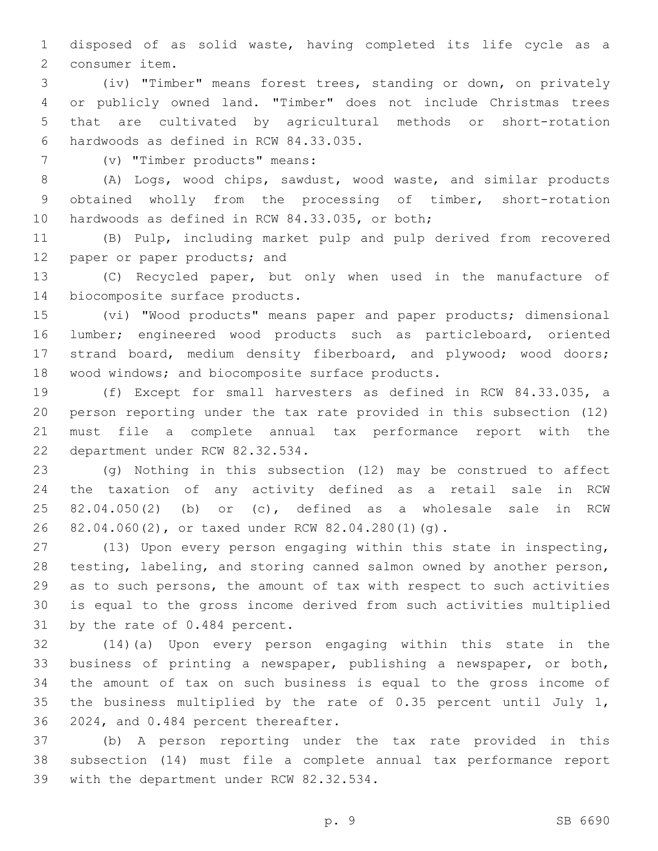disposed of as solid waste, having completed its life cycle as a 2 consumer item.

 (iv) "Timber" means forest trees, standing or down, on privately or publicly owned land. "Timber" does not include Christmas trees that are cultivated by agricultural methods or short-rotation hardwoods as defined in RCW 84.33.035.6

(v) "Timber products" means:7

 (A) Logs, wood chips, sawdust, wood waste, and similar products obtained wholly from the processing of timber, short-rotation 10 hardwoods as defined in RCW 84.33.035, or both;

 (B) Pulp, including market pulp and pulp derived from recovered 12 paper or paper products; and

 (C) Recycled paper, but only when used in the manufacture of 14 biocomposite surface products.

 (vi) "Wood products" means paper and paper products; dimensional lumber; engineered wood products such as particleboard, oriented strand board, medium density fiberboard, and plywood; wood doors; 18 wood windows; and biocomposite surface products.

 (f) Except for small harvesters as defined in RCW 84.33.035, a person reporting under the tax rate provided in this subsection (12) must file a complete annual tax performance report with the 22 department under RCW 82.32.534.

 (g) Nothing in this subsection (12) may be construed to affect the taxation of any activity defined as a retail sale in RCW 82.04.050(2) (b) or (c), defined as a wholesale sale in RCW 82.04.060(2), or taxed under RCW 82.04.280(1)(g).26

 (13) Upon every person engaging within this state in inspecting, testing, labeling, and storing canned salmon owned by another person, as to such persons, the amount of tax with respect to such activities is equal to the gross income derived from such activities multiplied 31 by the rate of 0.484 percent.

 (14)(a) Upon every person engaging within this state in the business of printing a newspaper, publishing a newspaper, or both, the amount of tax on such business is equal to the gross income of the business multiplied by the rate of 0.35 percent until July 1, 36 2024, and 0.484 percent thereafter.

 (b) A person reporting under the tax rate provided in this subsection (14) must file a complete annual tax performance report 39 with the department under RCW 82.32.534.